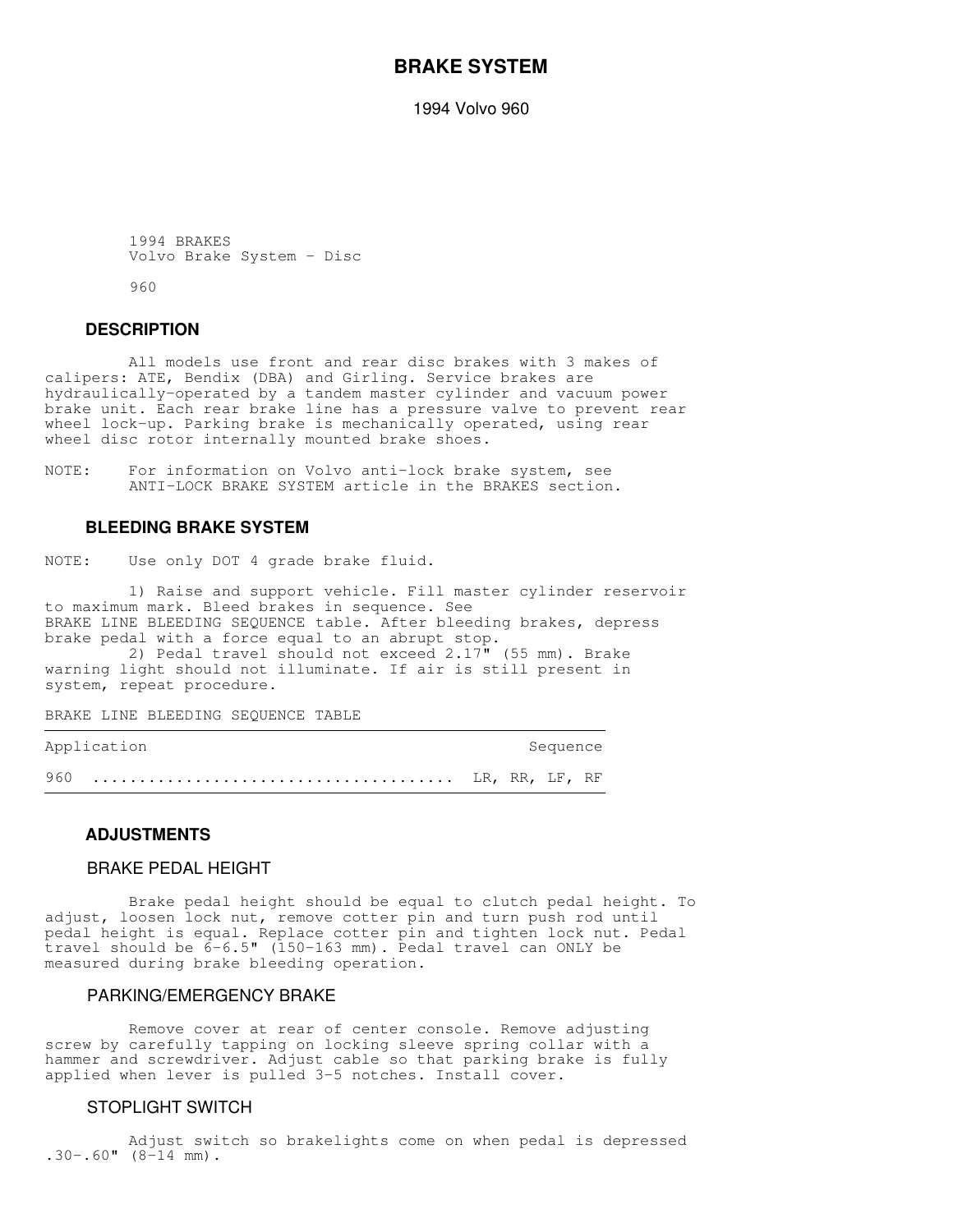# **BRAKE SYSTEM**

1994 Volvo 960

```
 1994 BRAKES
Volvo Brake System - Disc
```
960

## **DESCRIPTION**

 All models use front and rear disc brakes with 3 makes of calipers: ATE, Bendix (DBA) and Girling. Service brakes are hydraulically-operated by a tandem master cylinder and vacuum power brake unit. Each rear brake line has a pressure valve to prevent rear wheel lock-up. Parking brake is mechanically operated, using rear wheel disc rotor internally mounted brake shoes.

NOTE: For information on Volvo anti-lock brake system, see ANTI-LOCK BRAKE SYSTEM article in the BRAKES section.

## **BLEEDING BRAKE SYSTEM**

NOTE: Use only DOT 4 grade brake fluid.

 1) Raise and support vehicle. Fill master cylinder reservoir to maximum mark. Bleed brakes in sequence. See BRAKE LINE BLEEDING SEQUENCE table. After bleeding brakes, depress brake pedal with a force equal to an abrupt stop.

 2) Pedal travel should not exceed 2.17" (55 mm). Brake warning light should not illuminate. If air is still present in system, repeat procedure.

BRAKE LINE BLEEDING SEQUENCE TABLE

| Application |  | Sequence |  |
|-------------|--|----------|--|
|             |  |          |  |

## **ADJUSTMENTS**

## BRAKE PEDAL HEIGHT

 Brake pedal height should be equal to clutch pedal height. To adjust, loosen lock nut, remove cotter pin and turn push rod until pedal height is equal. Replace cotter pin and tighten lock nut. Pedal travel should be 6-6.5" (150-163 mm). Pedal travel can ONLY be measured during brake bleeding operation.

## PARKING/EMERGENCY BRAKE

 Remove cover at rear of center console. Remove adjusting screw by carefully tapping on locking sleeve spring collar with a hammer and screwdriver. Adjust cable so that parking brake is fully applied when lever is pulled 3-5 notches. Install cover.

## STOPLIGHT SWITCH

 Adjust switch so brakelights come on when pedal is depressed  $.30-.60$ " ( $8-14$  mm).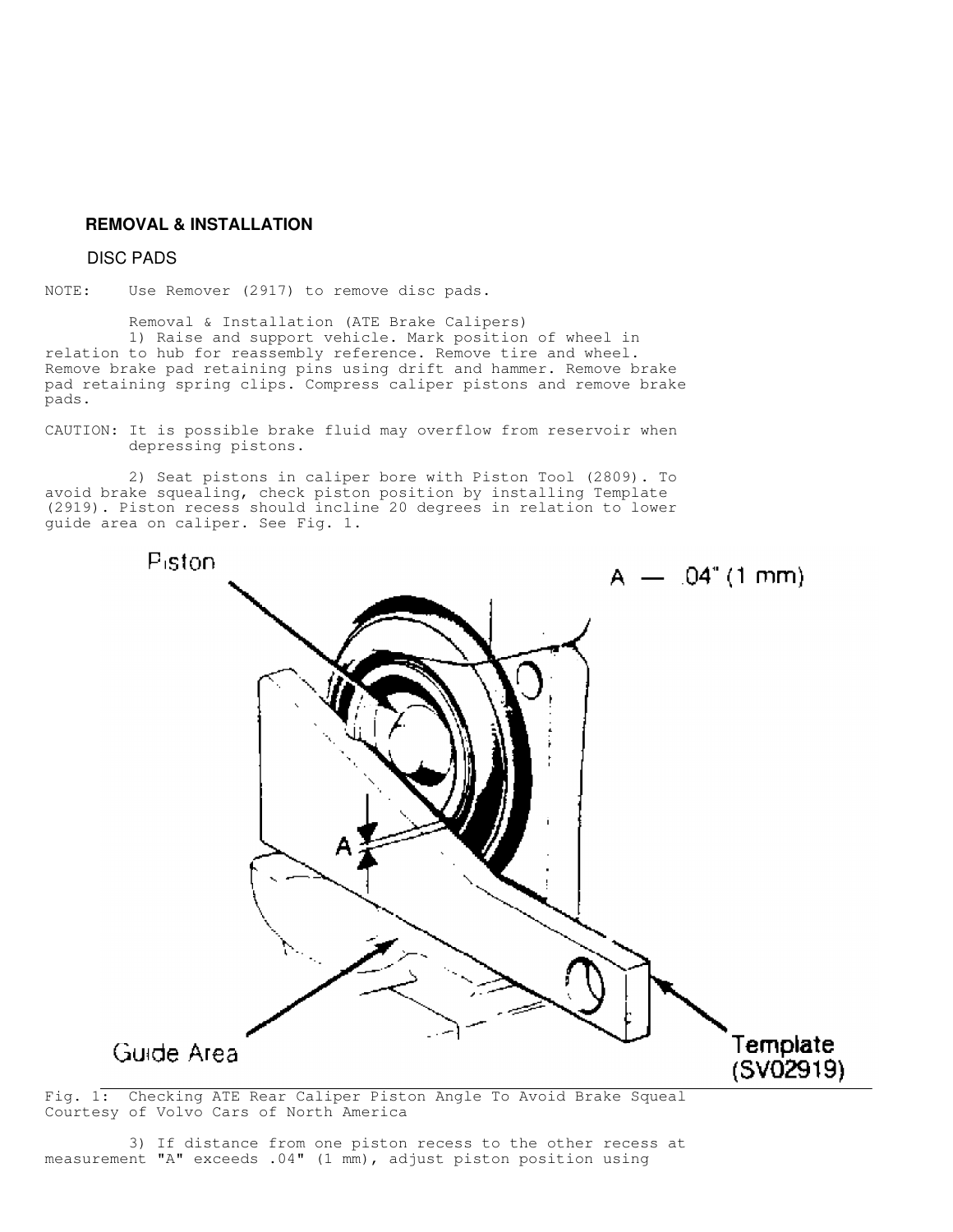# **REMOVAL & INSTALLATION**

## DISC PADS

NOTE: Use Remover (2917) to remove disc pads.

 Removal & Installation (ATE Brake Calipers) 1) Raise and support vehicle. Mark position of wheel in relation to hub for reassembly reference. Remove tire and wheel. Remove brake pad retaining pins using drift and hammer. Remove brake pad retaining spring clips. Compress caliper pistons and remove brake pads.

CAUTION: It is possible brake fluid may overflow from reservoir when depressing pistons.

 2) Seat pistons in caliper bore with Piston Tool (2809). To avoid brake squealing, check piston position by installing Template (2919). Piston recess should incline 20 degrees in relation to lower guide area on caliper. See Fig. 1.



Fig. 1: Checking ATE Rear Caliper Piston Angle To Avoid Brake Squeal Courtesy of Volvo Cars of North America

 3) If distance from one piston recess to the other recess at measurement "A" exceeds .04" (1 mm), adjust piston position using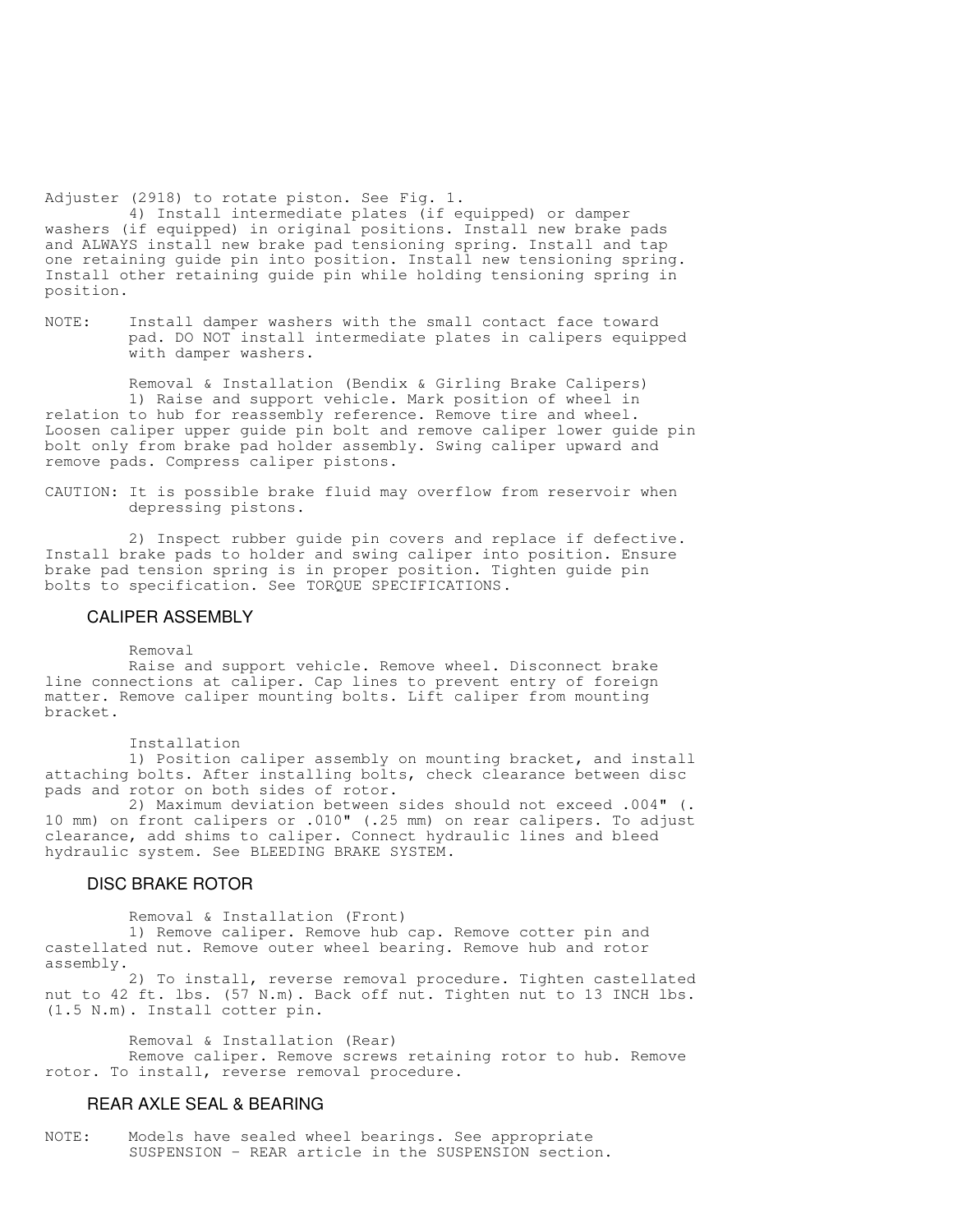Adjuster (2918) to rotate piston. See Fig. 1.

 4) Install intermediate plates (if equipped) or damper washers (if equipped) in original positions. Install new brake pads and ALWAYS install new brake pad tensioning spring. Install and tap one retaining guide pin into position. Install new tensioning spring. Install other retaining guide pin while holding tensioning spring in position.

NOTE: Install damper washers with the small contact face toward pad. DO NOT install intermediate plates in calipers equipped with damper washers.

 Removal & Installation (Bendix & Girling Brake Calipers) 1) Raise and support vehicle. Mark position of wheel in relation to hub for reassembly reference. Remove tire and wheel. Loosen caliper upper guide pin bolt and remove caliper lower guide pin bolt only from brake pad holder assembly. Swing caliper upward and remove pads. Compress caliper pistons.

CAUTION: It is possible brake fluid may overflow from reservoir when depressing pistons.

 2) Inspect rubber guide pin covers and replace if defective. Install brake pads to holder and swing caliper into position. Ensure brake pad tension spring is in proper position. Tighten guide pin bolts to specification. See TORQUE SPECIFICATIONS.

## CALIPER ASSEMBLY

Removal

 Raise and support vehicle. Remove wheel. Disconnect brake line connections at caliper. Cap lines to prevent entry of foreign matter. Remove caliper mounting bolts. Lift caliper from mounting bracket.

### Installation

 1) Position caliper assembly on mounting bracket, and install attaching bolts. After installing bolts, check clearance between disc pads and rotor on both sides of rotor.

 2) Maximum deviation between sides should not exceed .004" (. 10 mm) on front calipers or .010" (.25 mm) on rear calipers. To adjust clearance, add shims to caliper. Connect hydraulic lines and bleed hydraulic system. See BLEEDING BRAKE SYSTEM.

## DISC BRAKE ROTOR

Removal & Installation (Front)

 1) Remove caliper. Remove hub cap. Remove cotter pin and castellated nut. Remove outer wheel bearing. Remove hub and rotor assembly.

 2) To install, reverse removal procedure. Tighten castellated nut to 42 ft. lbs. (57 N.m). Back off nut. Tighten nut to 13 INCH lbs. (1.5 N.m). Install cotter pin.

Removal & Installation (Rear)

 Remove caliper. Remove screws retaining rotor to hub. Remove rotor. To install, reverse removal procedure.

### REAR AXLE SEAL & BEARING

NOTE: Models have sealed wheel bearings. See appropriate SUSPENSION - REAR article in the SUSPENSION section.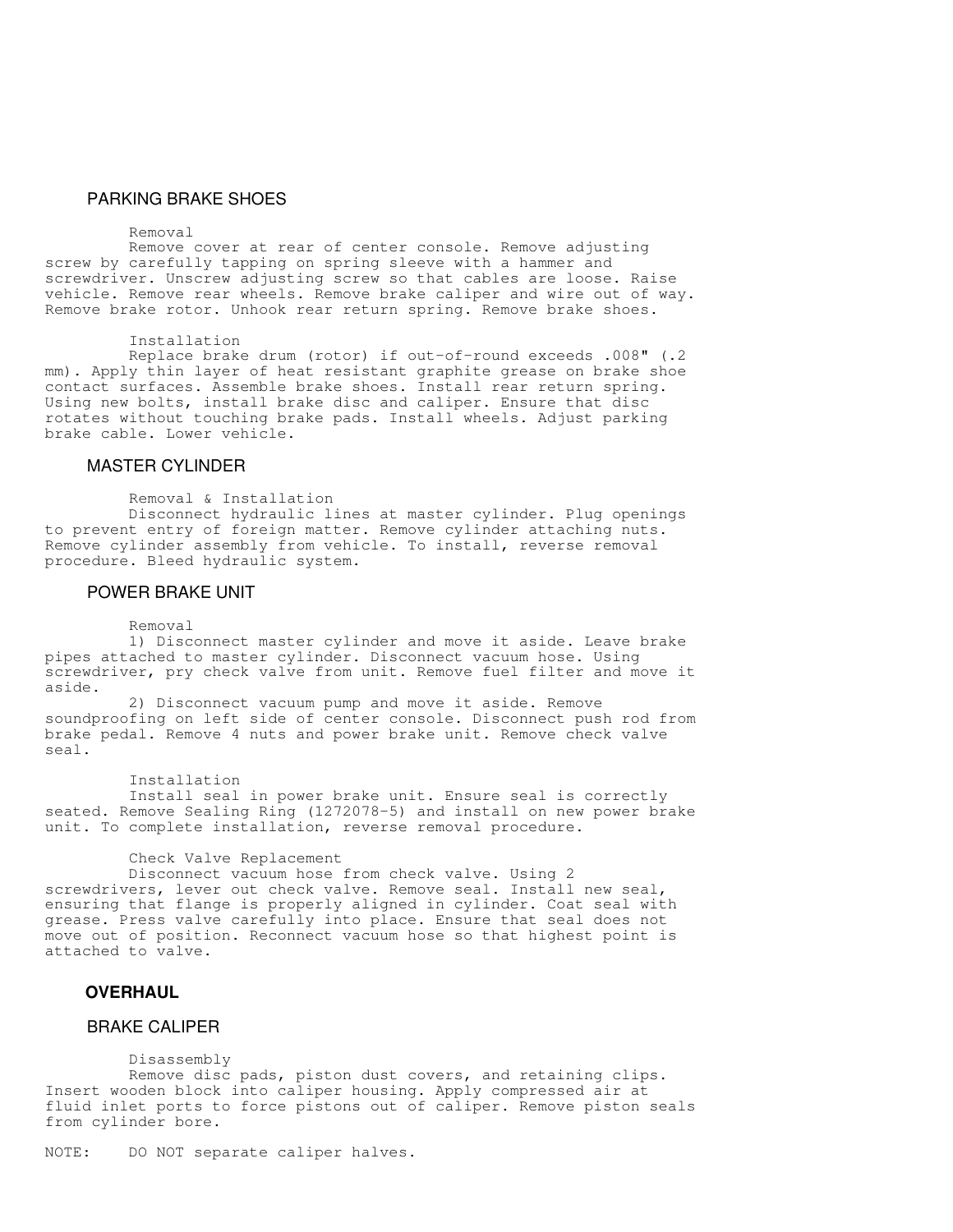## PARKING BRAKE SHOES

#### Removal

 Remove cover at rear of center console. Remove adjusting screw by carefully tapping on spring sleeve with a hammer and screwdriver. Unscrew adjusting screw so that cables are loose. Raise vehicle. Remove rear wheels. Remove brake caliper and wire out of way. Remove brake rotor. Unhook rear return spring. Remove brake shoes.

### Installation

 Replace brake drum (rotor) if out-of-round exceeds .008" (.2 mm). Apply thin layer of heat resistant graphite grease on brake shoe contact surfaces. Assemble brake shoes. Install rear return spring. Using new bolts, install brake disc and caliper. Ensure that disc rotates without touching brake pads. Install wheels. Adjust parking brake cable. Lower vehicle.

## MASTER CYLINDER

Removal & Installation

 Disconnect hydraulic lines at master cylinder. Plug openings to prevent entry of foreign matter. Remove cylinder attaching nuts. Remove cylinder assembly from vehicle. To install, reverse removal procedure. Bleed hydraulic system.

## POWER BRAKE UNIT

### Removal

 1) Disconnect master cylinder and move it aside. Leave brake pipes attached to master cylinder. Disconnect vacuum hose. Using screwdriver, pry check valve from unit. Remove fuel filter and move it aside.

 2) Disconnect vacuum pump and move it aside. Remove soundproofing on left side of center console. Disconnect push rod from brake pedal. Remove 4 nuts and power brake unit. Remove check valve seal.

#### Installation

 Install seal in power brake unit. Ensure seal is correctly seated. Remove Sealing Ring (1272078-5) and install on new power brake unit. To complete installation, reverse removal procedure.

#### Check Valve Replacement

 Disconnect vacuum hose from check valve. Using 2 screwdrivers, lever out check valve. Remove seal. Install new seal, ensuring that flange is properly aligned in cylinder. Coat seal with grease. Press valve carefully into place. Ensure that seal does not move out of position. Reconnect vacuum hose so that highest point is attached to valve.

## **OVERHAUL**

# BRAKE CALIPER

Disassembly

 Remove disc pads, piston dust covers, and retaining clips. Insert wooden block into caliper housing. Apply compressed air at fluid inlet ports to force pistons out of caliper. Remove piston seals from cylinder bore.

NOTE: DO NOT separate caliper halves.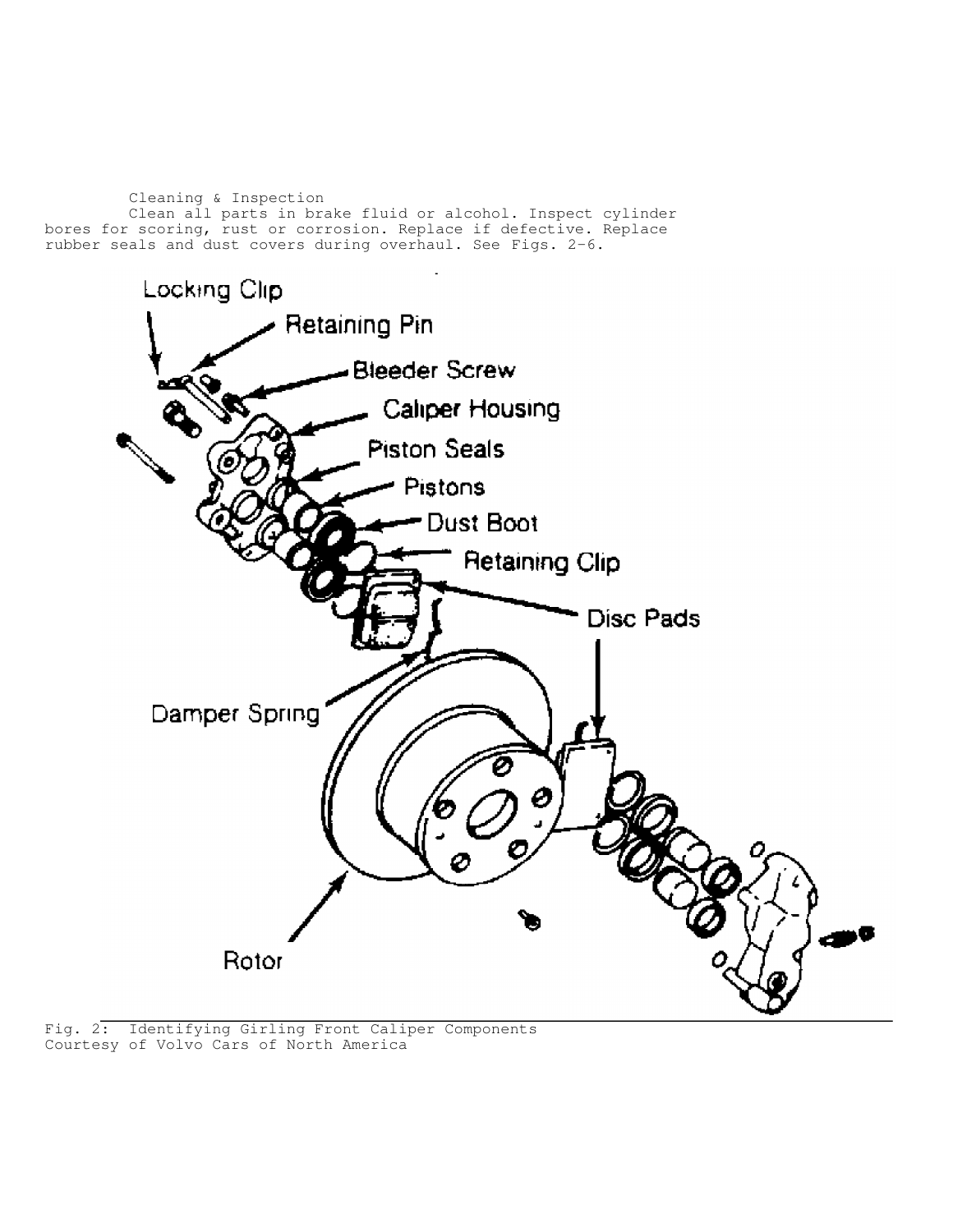Cleaning & Inspection Clean all parts in brake fluid or alcohol. Inspect cylinder bores for scoring, rust or corrosion. Replace if defective. Replace rubber seals and dust covers during overhaul. See Figs. 2-6.

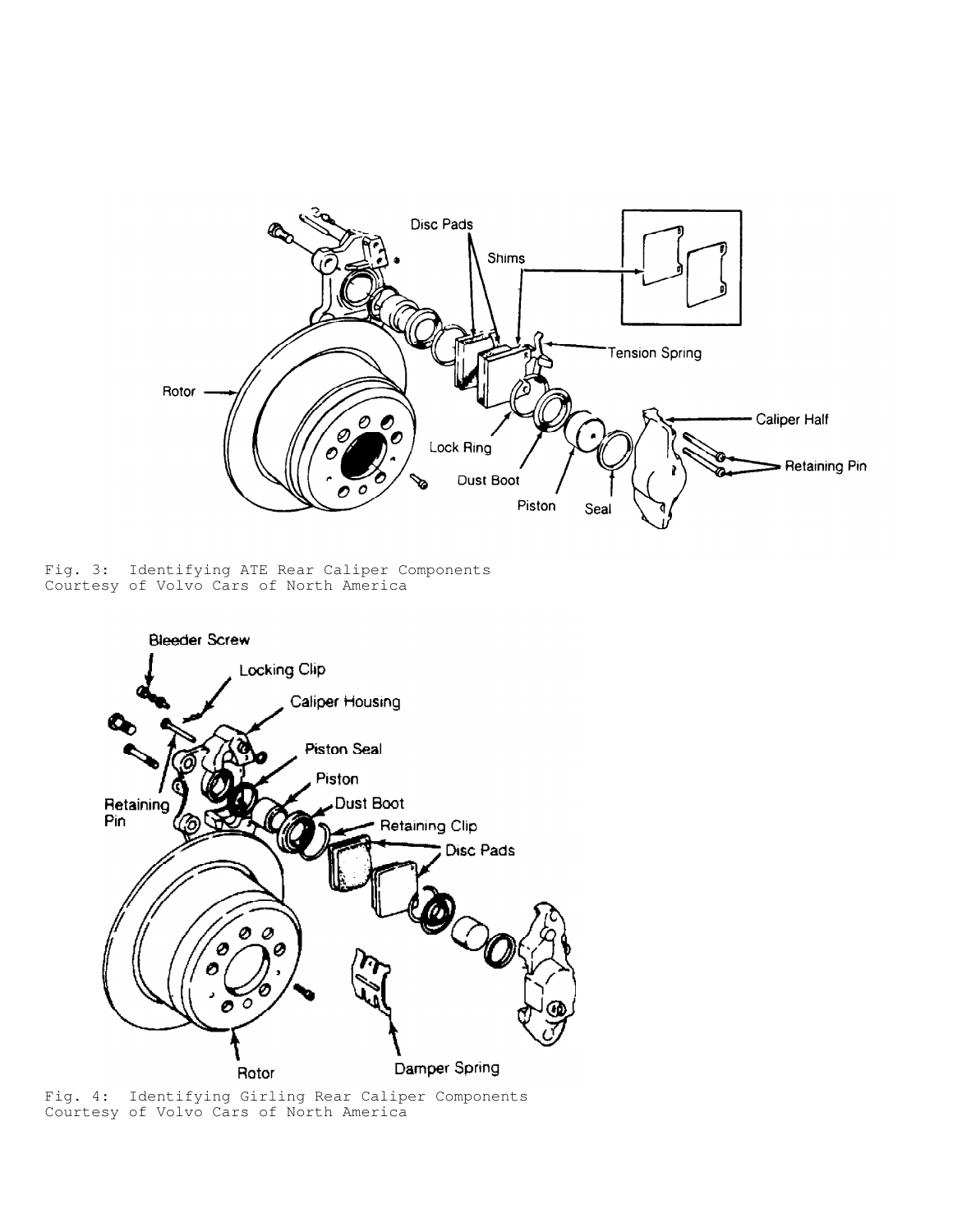

Fig. 3: Identifying ATE Rear Caliper Components Courtesy of Volvo Cars of North America



Fig. 4: Identifying Girling Rear Caliper Components Courtesy of Volvo Cars of North America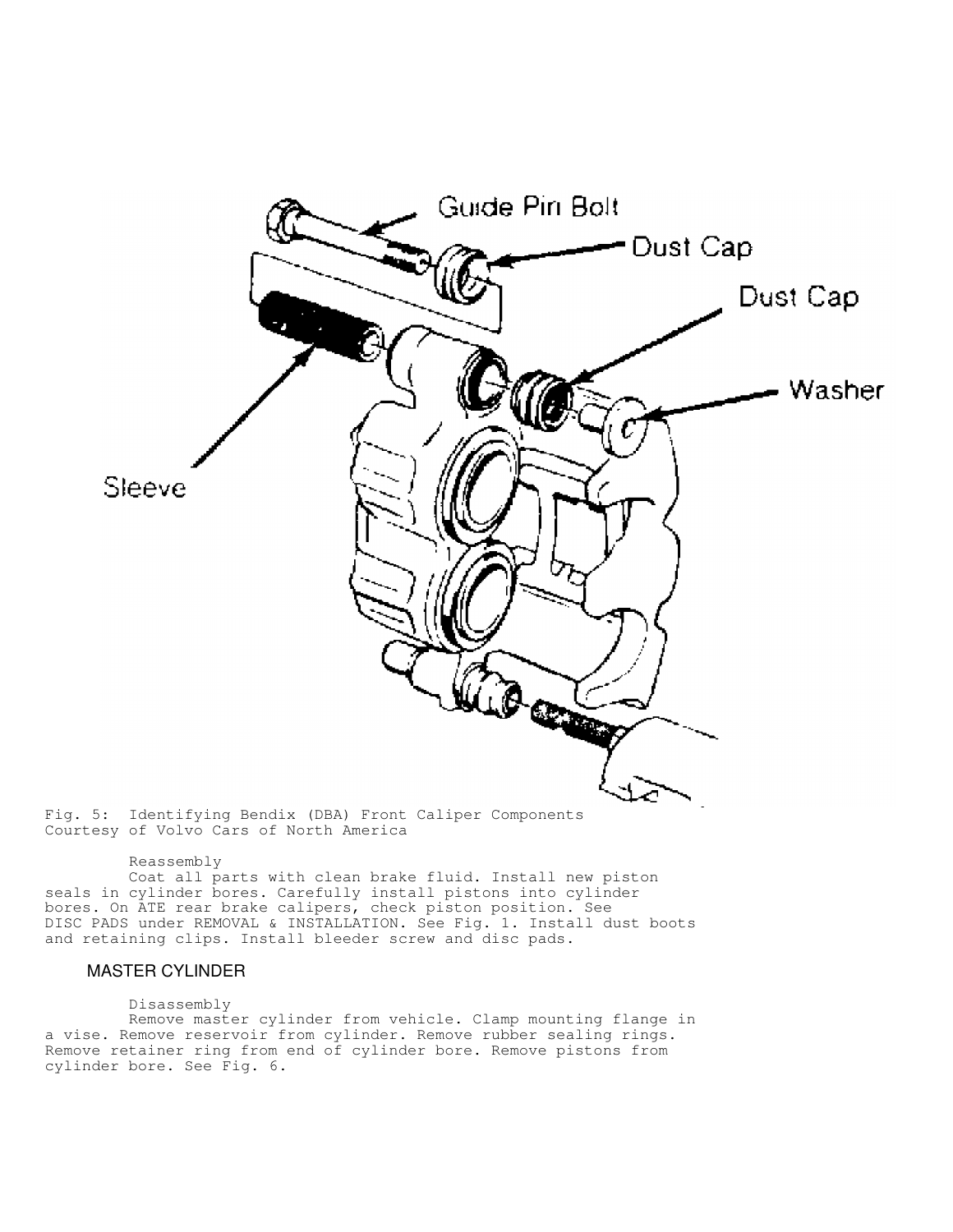

#### Reassembly

 Coat all parts with clean brake fluid. Install new piston seals in cylinder bores. Carefully install pistons into cylinder bores. On ATE rear brake calipers, check piston position. See DISC PADS under REMOVAL & INSTALLATION. See Fig. 1. Install dust boots and retaining clips. Install bleeder screw and disc pads.

## MASTER CYLINDER

### Disassembly

 Remove master cylinder from vehicle. Clamp mounting flange in a vise. Remove reservoir from cylinder. Remove rubber sealing rings. Remove retainer ring from end of cylinder bore. Remove pistons from cylinder bore. See Fig. 6.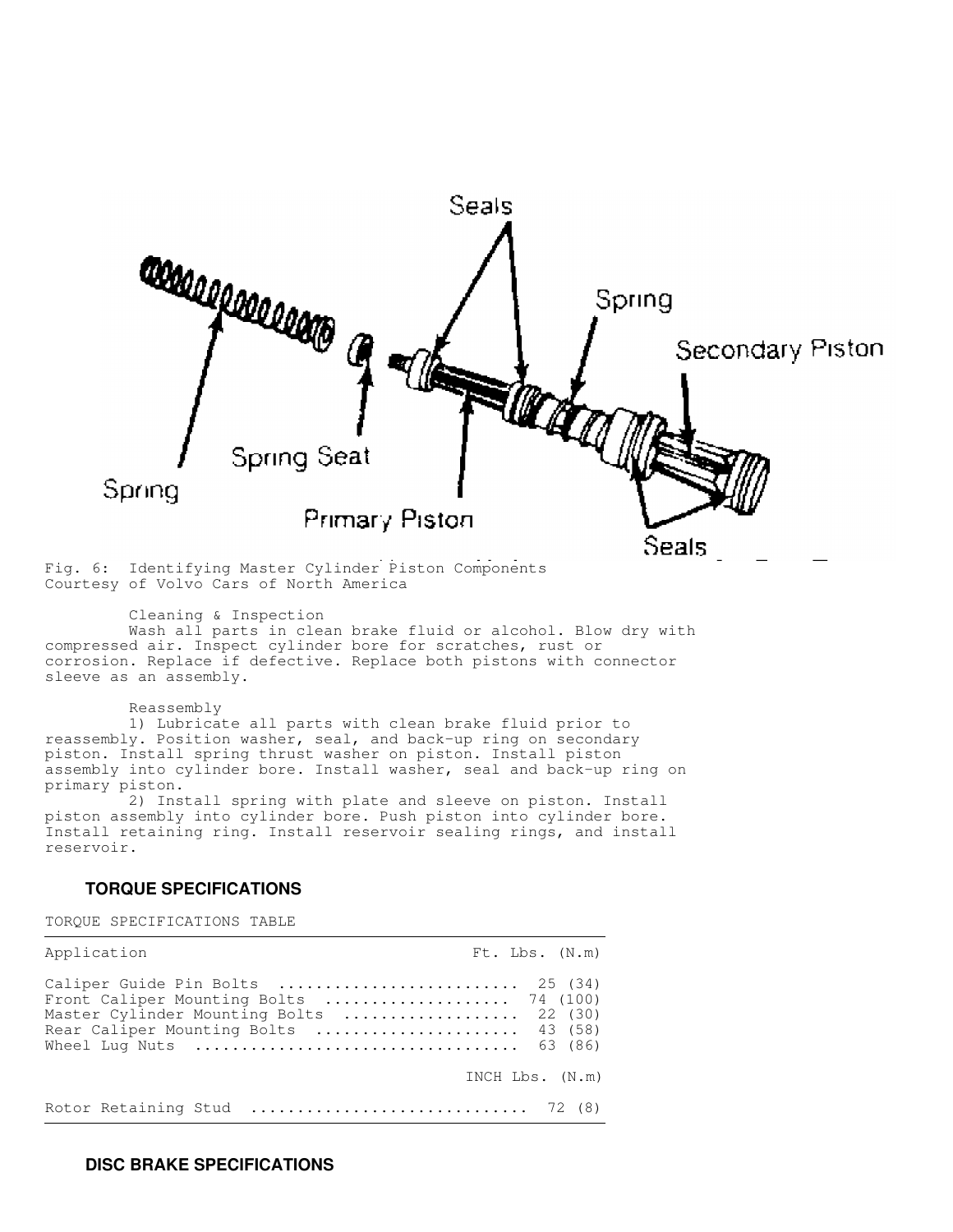

Fig. 6: Identifying Master Cylinder Piston Components Courtesy of Volvo Cars of North America

Cleaning & Inspection

 Wash all parts in clean brake fluid or alcohol. Blow dry with compressed air. Inspect cylinder bore for scratches, rust or corrosion. Replace if defective. Replace both pistons with connector sleeve as an assembly.

Reassembly

 1) Lubricate all parts with clean brake fluid prior to reassembly. Position washer, seal, and back-up ring on secondary piston. Install spring thrust washer on piston. Install piston assembly into cylinder bore. Install washer, seal and back-up ring on primary piston.

 2) Install spring with plate and sleeve on piston. Install piston assembly into cylinder bore. Push piston into cylinder bore. Install retaining ring. Install reservoir sealing rings, and install reservoir.

# **TORQUE SPECIFICATIONS**

TORQUE SPECIFICATIONS TABLE

| Application                                                                                                                                                                                                                                                            | $Ft$ . Lbs. $(N.m)$ |
|------------------------------------------------------------------------------------------------------------------------------------------------------------------------------------------------------------------------------------------------------------------------|---------------------|
| Caliper Guide Pin Bolts  25 (34)<br>Front Caliper Mounting Bolts  74 (100)<br>Master Cylinder Mounting Bolts  22 (30)<br>Rear Caliper Mounting Bolts  43 (58)<br>Wheel Lug Nuts $\ldots \ldots \ldots \ldots \ldots \ldots \ldots \ldots \ldots \ldots \ldots$ 63 (86) |                     |
|                                                                                                                                                                                                                                                                        | INCH $Lbs.$ $(N.m)$ |
| Rotor Retaining Stud  72 (8)                                                                                                                                                                                                                                           |                     |

# **DISC BRAKE SPECIFICATIONS**